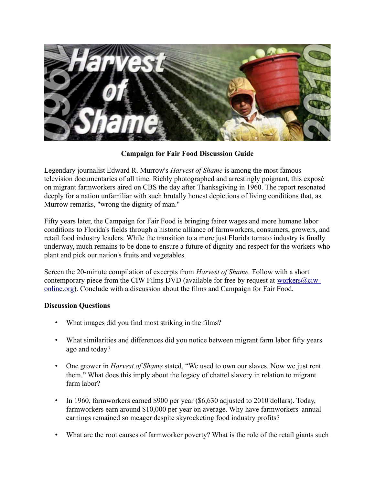

**Campaign for Fair Food Discussion Guide**

Legendary journalist Edward R. Murrow's *Harvest of Shame* is among the most famous television documentaries of all time. Richly photographed and arrestingly poignant, this exposé on migrant farmworkers aired on CBS the day after Thanksgiving in 1960. The report resonated deeply for a nation unfamiliar with such brutally honest depictions of living conditions that, as Murrow remarks, "wrong the dignity of man."

Fifty years later, the Campaign for Fair Food is bringing fairer wages and more humane labor conditions to Florida's fields through a historic alliance of farmworkers, consumers, growers, and retail food industry leaders. While the transition to a more just Florida tomato industry is finally underway, much remains to be done to ensure a future of dignity and respect for the workers who plant and pick our nation's fruits and vegetables.

Screen the 20-minute compilation of excerpts from *Harvest of Shame.* Follow with a short contemporary piece from the CIW Films DVD (available for free by request at [workers@ciw](mailto:workers@ciw-online.org)[online.org\)](mailto:workers@ciw-online.org). Conclude with a discussion about the films and Campaign for Fair Food.

## **Discussion Questions**

- What images did you find most striking in the films?
- What similarities and differences did you notice between migrant farm labor fifty years ago and today?
- One grower in *Harvest of Shame* stated, "We used to own our slaves. Now we just rent them." What does this imply about the legacy of chattel slavery in relation to migrant farm labor?
- In 1960, farmworkers earned \$900 per year (\$6,630 adjusted to 2010 dollars). Today, farmworkers earn around \$10,000 per year on average. Why have farmworkers' annual earnings remained so meager despite skyrocketing food industry profits?
- What are the root causes of farmworker poverty? What is the role of the retail giants such